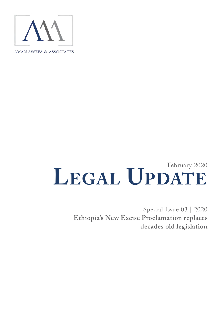

# **Legal Update** February 2020

Special Issue 03 | 2020 **Ethiopia's New Excise Proclamation replaces decades old legislation**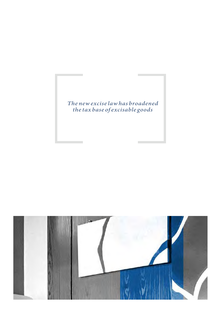*The new excise law has broadened the tax base of excisable goods*

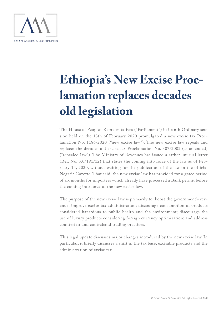

## **Ethiopia's New Excise Proclamation replaces decades old legislation**

The House of Peoples' Representatives ("Parliament") in its 6th Ordinary session held on the 13th of February 2020 promulgated a new excise tax Proclamation No. 1186/2020 ("new excise law"). The new excise law repeals and replaces the decades old excise tax Proclamation No. 307/2002 (as amended) ("repealed law"). The Ministry of Revenues has issued a rather unusual letter (Ref. No. 3.0/191/12) that states the coming into force of the law as of February 14, 2020, without waiting for the publication of the law in the official Negarit Gazette. That said, the new excise law has provided for a grace period of six months for importers which already have processed a Bank permit before the coming into force of the new excise law.

The purpose of the new excise law is primarily to: boost the government's revenue; improve excise tax administration; discourage consumption of products considered hazardous to public health and the environment; discourage the use of luxury products considering foreign currency optimization; and address counterfeit and contraband trading practices.

This legal update discusses major changes introduced by the new excise law. In particular, it briefly discusses a shift in the tax base, excisable products and the administration of excise tax.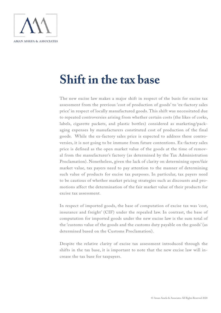

### **Shift in the tax base**

The new excise law makes a major shift in respect of the basis for excise tax assessment from the previous 'cost of production of goods' to 'ex-factory sales price' in respect of locally manufactured goods. This shift was necessitated due to repeated controversies arising from whether certain costs (the likes of corks, labels, cigarette packets, and plastic bottles) considered as marketing/packaging expenses by manufacturers constituted cost of production of the final goods. While the ex-factory sales price is expected to address these controversies, it is not going to be immune from future contentions. Ex-factory sales price is defined as the open market value of the goods at the time of removal from the manufacturer's factory (as determined by the Tax Administration Proclamation). Nonetheless, given the lack of clarity on determining open/fair market value, tax payers need to pay attention to the manner of determining such value of products for excise tax purposes. In particular, tax payers need to be cautious of whether market pricing strategies such as discounts and promotions affect the determination of the fair market value of their products for excise tax assessment.

In respect of imported goods, the base of computation of excise tax was 'cost, insurance and freight' (CIF) under the repealed law. In contrast, the base of computation for imported goods under the new excise law is the sum total of the 'customs value of the goods and the customs duty payable on the goods' (as determined based on the Customs Proclamation).

Despite the relative clarity of excise tax assessment introduced through the shifts in the tax base, it is important to note that the new excise law will increase the tax base for taxpayers.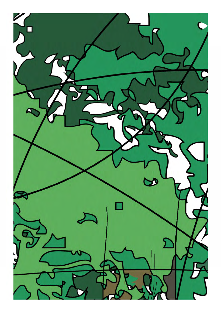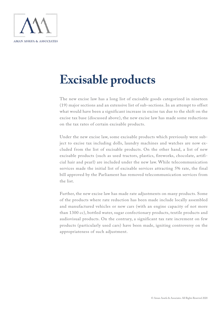

### **Excisable products**

The new excise law has a long list of excisable goods categorized in nineteen (19) major sections and an extensive list of sub-sections. In an attempt to offset what would have been a significant increase in excise tax due to the shift on the excise tax base (discussed above), the new excise law has made some reductions on the tax rates of certain excisable products.

Under the new excise law, some excisable products which previously were subject to excise tax including dolls, laundry machines and watches are now excluded from the list of excisable products. On the other hand, a list of new excisable products (such as used tractors, plastics, fireworks, chocolate, artificial hair and pearl) are included under the new law. While telecommunication services made the initial list of excisable services attracting 5% rate, the final bill approved by the Parliament has removed telecommunication services from the list.

Further, the new excise law has made rate adjustments on many products. Some of the products where rate reduction has been made include locally assembled and manufactured vehicles or new cars (with an engine capacity of not more than 1300 cc), bottled water, sugar confectionary products, textile products and audiovisual products. On the contrary, a significant tax rate increment on few products (particularly used cars) have been made, igniting controversy on the appropriateness of such adjustment.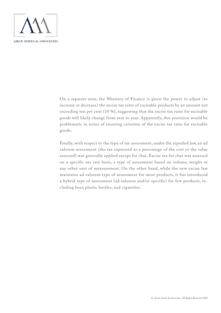

On a separate note, the Ministry of Finance is given the power to adjust (to increase or decrease) the excise tax rates of excisable products by an amount not exceeding ten per cent (10 %), suggesting that the excise tax rates for excisable goods will likely change from year to year. Apparently, this provision would be problematic in terms of ensuring certainty of the excise tax rates for excisable goods.

Finally, with respect to the type of tax assessment, under the repealed law, an ad valorem assessment (the tax expressed as a percentage of the cost or the value assessed) was generally applied except for chat. Excise tax for chat was assessed on a specific tax rate basis, a type of assessment based on volume, weight or any other unit of measurement. On the other hand, while the new excise law maintains ad valorem type of assessment for most products, it has introduced a hybrid type of assessment (ad valorem and/or specific) for few products, including beer, plastic bottles, and cigarettes.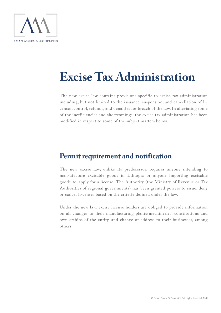

### **Excise Tax Administration**

The new excise law contains provisions specific to excise tax administration including, but not limited to the issuance, suspension, and cancellation of licenses, control, refunds, and penalties for breach of the law. In alleviating some of the inefficiencies and shortcomings, the excise tax administration has been modified in respect to some of the subject matters below.

#### **Permit requirement and notification**

The new excise law, unlike its predecessor, requires anyone intending to man-ufacture excisable goods in Ethiopia or anyone importing excisable goods to apply for a license. The Authority (the Ministry of Revenue or Tax Authorities of regional governments) has been granted powers to issue, deny or cancel li-censes based on the criteria defined under the law.

Under the new law, excise license holders are obliged to provide information on all changes to their manufacturing plants/machineries, constitutions and own-erships of the entity, and change of address to their businesses, among others.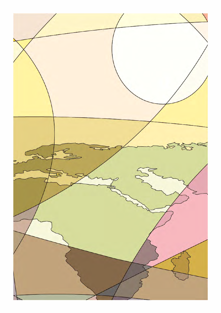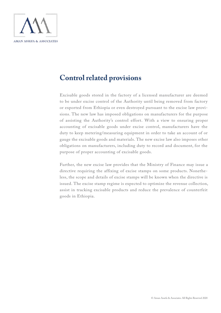

### **Control related provisions**

Excisable goods stored in the factory of a licensed manufacturer are deemed to be under excise control of the Authority until being removed from factory or exported from Ethiopia or even destroyed pursuant to the excise law provisions. The new law has imposed obligations on manufacturers for the purpose of assisting the Authority's control effort. With a view to ensuring proper accounting of excisable goods under excise control, manufacturers have the duty to keep metering/measuring equipment in order to take an account of or gauge the excisable goods and materials. The new excise law also imposes other obligations on manufacturers, including duty to record and document, for the purpose of proper accounting of excisable goods.

Further, the new excise law provides that the Ministry of Finance may issue a directive requiring the affixing of excise stamps on some products. Nonetheless, the scope and details of excise stamps will be known when the directive is issued. The excise stamp regime is expected to optimize the revenue collection, assist in tracking excisable products and reduce the prevalence of counterfeit goods in Ethiopia.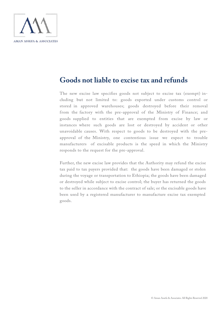

#### **Goods not liable to excise tax and refunds**

The new excise law specifies goods not subject to excise tax (exempt) including but not limited to: goods exported under customs control or stored in approved warehouses; goods destroyed before their removal from the factory with the pre-approval of the Ministry of Finance; and goods supplied to entities that are exempted from excise by law or instances where such goods are lost or destroyed by accident or other unavoidable causes. With respect to goods to be destroyed with the preapproval of the Ministry, one contentious issue we expect to trouble manufacturers of excisable products is the speed in which the Ministry responds to the request for the pre-approval.

Further, the new excise law provides that the Authority may refund the excise tax paid to tax payers provided that: the goods have been damaged or stolen during the voyage or transportation to Ethiopia; the goods have been damaged or destroyed while subject to excise control; the buyer has returned the goods to the seller in accordance with the contract of sale; or the excisable goods have been used by a registered manufacturer to manufacture excise tax exempted goods.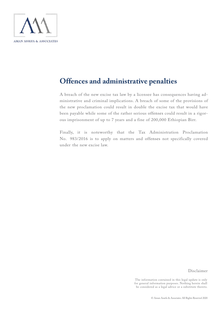

#### **Offences and administrative penalties**

A breach of the new excise tax law by a licensee has consequences having administrative and criminal implications. A breach of some of the provisions of the new proclamation could result in double the excise tax that would have been payable while some of the rather serious offenses could result in a rigorous imprisonment of up to 7 years and a fine of 200,000 Ethiopian Birr.

Finally, it is noteworthy that the Tax Administration Proclamation No. 983/2016 is to apply on matters and offenses not specifically covered under the new excise law.

Disclaimer

The information contained in this legal update is only for general information purposes. Nothing herein shall be considered as a legal advice or a substitute thereto.